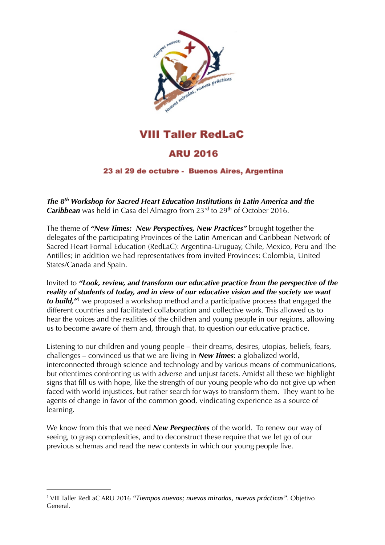

**VIII Taller RedLaC** 

## **ARU 2016**

## 23 al 29 de octubre - Buenos Aires, Argentina

*The 8th Workshop for Sacred Heart Education Institutions in Latin America and the*  **Caribbean** was held in Casa del Almagro from 23<sup>rd</sup> to 29<sup>th</sup> of October 2016.

The theme of *"New Times: New Perspectives, New Practices"* brought together the delegates of the participating Provinces of the Latin American and Caribbean Network of Sacred Heart Formal Education (RedLaC): Argentina-Uruguay, Chile, Mexico, Peru and The Antilles; in addition we had representatives from invited Provinces: Colombia, United States/Canada and Spain.

<span id="page-0-1"></span>Invited to *"Look, review, and transform our educative practice from the perspective of the reality of students of today, and in view of our educative vision and the society we want tobuild*,<sup>*n*</sup> we proposed a workshop method and a participative process that engaged the different countries and facilitated collaboration and collective work. This allowed us to hear the voices and the realities of the children and young people in our regions, allowing us to become aware of them and, through that, to question our educative practice.

Listening to our children and young people – their dreams, desires, utopias, beliefs, fears, challenges – convinced us that we are living in *New Times*: a globalized world, interconnected through science and technology and by various means of communications, but oftentimes confronting us with adverse and unjust facets. Amidst all these we highlight signs that fill us with hope, like the strength of our young people who do not give up when faced with world injustices, but rather search for ways to transform them. They want to be agents of change in favor of the common good, vindicating experience as a source of learning.

We know from this that we need *New Perspectives* of the world. To renew our way of seeing, to grasp complexities, and to deconstruct these require that we let go of our previous schemas and read the new contexts in which our young people live.

<span id="page-0-0"></span>VIII Taller RedLaC ARU 2016 *"Tiempos nuevos; nuevas miradas, nuevas prácticas"*. Objetivo [1](#page-0-1) General.